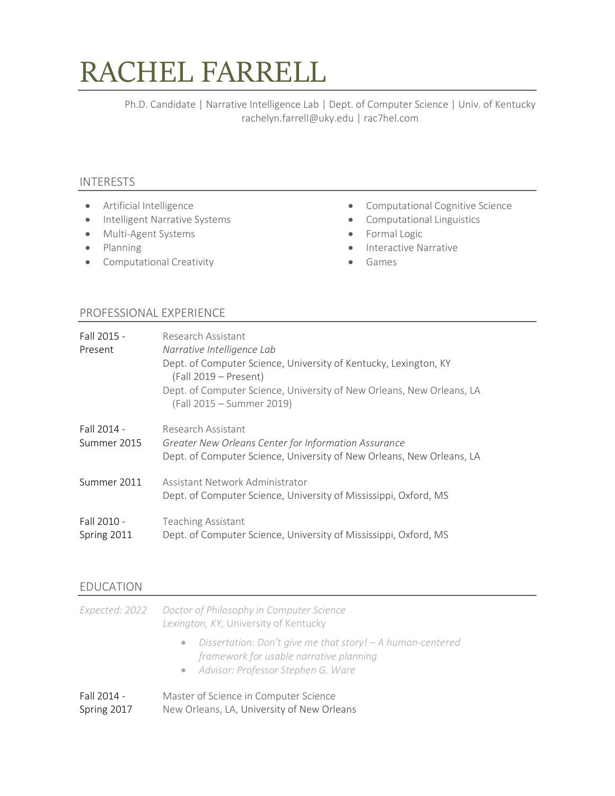# RACHEL FARRELL

Ph.D. Candidate | Narrative Intelligence Lab | Dept. of Computer Science | Univ. of Kentucky rachelyn.farrell@uky.edu | rac7hel.com

## INTERESTS

- Artificial Intelligence
- Intelligent Narrative Systems
- Multi-Agent Systems
- Planning
- Computational Creativity
- Computational Cognitive Science
- Computational Linguistics
- Formal Logic
- Interactive Narrative
- Games

# PROFESSIONAL EXPERIENCE

| Fall 2015 - | Research Assistant                                                                                                            |
|-------------|-------------------------------------------------------------------------------------------------------------------------------|
| Present     | Narrative Intelligence Lab                                                                                                    |
|             | Dept. of Computer Science, University of Kentucky, Lexington, KY<br>(Fall 2019 – Present)                                     |
|             | Dept. of Computer Science, University of New Orleans, New Orleans, LA<br>(Fall 2015 - Summer 2019)                            |
| Fall 2014 - | Research Assistant                                                                                                            |
| Summer 2015 | Greater New Orleans Center for Information Assurance<br>Dept. of Computer Science, University of New Orleans, New Orleans, LA |
| Summer 2011 | Assistant Network Administrator<br>Dept. of Computer Science, University of Mississippi, Oxford, MS                           |
| Fall 2010 - | <b>Teaching Assistant</b>                                                                                                     |
| Spring 2011 | Dept. of Computer Science, University of Mississippi, Oxford, MS                                                              |

## EDUCATION

|                            | Expected: 2022 Doctor of Philosophy in Computer Science<br>Lexington, KY, University of Kentucky                                                |
|----------------------------|-------------------------------------------------------------------------------------------------------------------------------------------------|
|                            | • Dissertation: Don't give me that story! - A human-centered<br>framework for usable narrative planning<br>• Advisor: Professor Stephen G. Ware |
| Fall 2014 -<br>Spring 2017 | Master of Science in Computer Science<br>New Orleans, LA, University of New Orleans                                                             |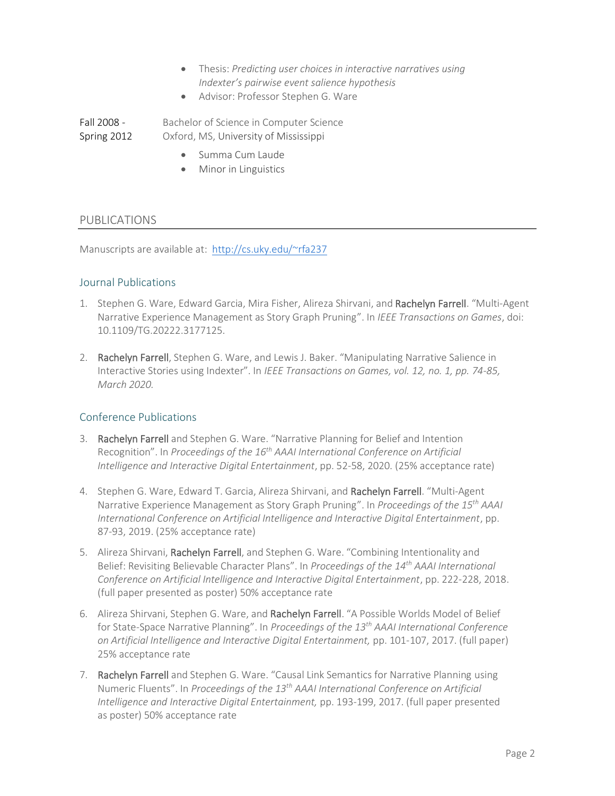- Thesis: *Predicting user choices in interactive narratives using Indexter's pairwise event salience hypothesis*
- Advisor: Professor Stephen G. Ware

Fall 2008 - Spring 2012 Bachelor of Science in Computer Science Oxford, MS, University of Mississippi

- Summa Cum Laude
- Minor in Linguistics

#### PUBLICATIONS

Manuscripts are available at: <http://cs.uky.edu/~rfa237>

#### Journal Publications

- 1. Stephen G. Ware, Edward Garcia, Mira Fisher, Alireza Shirvani, and Rachelyn Farrell. "Multi-Agent Narrative Experience Management as Story Graph Pruning". In *IEEE Transactions on Games*, doi: 10.1109/TG.20222.3177125.
- 2. Rachelyn Farrell, Stephen G. Ware, and Lewis J. Baker. "Manipulating Narrative Salience in Interactive Stories using Indexter". In *IEEE Transactions on Games, vol. 12, no. 1, pp. 74-85, March 2020.*

## Conference Publications

- 3. Rachelyn Farrell and Stephen G. Ware. "Narrative Planning for Belief and Intention Recognition". In *Proceedings of the 16th AAAI International Conference on Artificial Intelligence and Interactive Digital Entertainment*, pp. 52-58, 2020. (25% acceptance rate)
- 4. Stephen G. Ware, Edward T. Garcia, Alireza Shirvani, and Rachelyn Farrell. "Multi-Agent Narrative Experience Management as Story Graph Pruning". In *Proceedings of the 15 th AAAI International Conference on Artificial Intelligence and Interactive Digital Entertainment*, pp. 87-93, 2019. (25% acceptance rate)
- 5. Alireza Shirvani, Rachelyn Farrell, and Stephen G. Ware. "Combining Intentionality and Belief: Revisiting Believable Character Plans". In *Proceedings of the 14th AAAI International Conference on Artificial Intelligence and Interactive Digital Entertainment*, pp. 222-228, 2018. (full paper presented as poster) 50% acceptance rate
- 6. Alireza Shirvani, Stephen G. Ware, and Rachelyn Farrell. "A Possible Worlds Model of Belief for State-Space Narrative Planning". In *Proceedings of the 13th AAAI International Conference on Artificial Intelligence and Interactive Digital Entertainment,* pp. 101-107, 2017. (full paper) 25% acceptance rate
- 7. Rachelyn Farrell and Stephen G. Ware. "Causal Link Semantics for Narrative Planning using Numeric Fluents". In *Proceedings of the 13th AAAI International Conference on Artificial Intelligence and Interactive Digital Entertainment,* pp. 193-199, 2017. (full paper presented as poster) 50% acceptance rate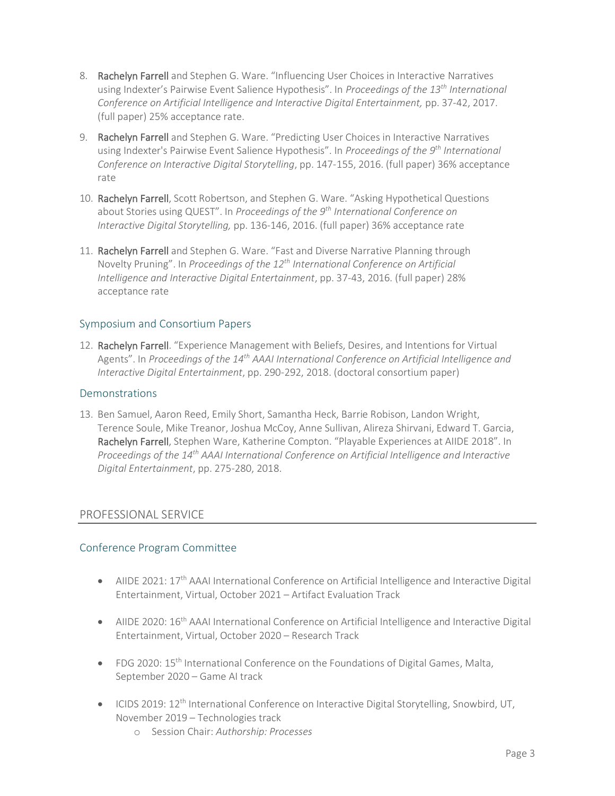- 8. Rachelyn Farrell and Stephen G. Ware. "Influencing User Choices in Interactive Narratives using Indexter's Pairwise Event Salience Hypothesis". In *Proceedings of the 13th International Conference on Artificial Intelligence and Interactive Digital Entertainment,* pp. 37-42, 2017. (full paper) 25% acceptance rate.
- 9. Rachelyn Farrell and Stephen G. Ware. "Predicting User Choices in Interactive Narratives using Indexter's Pairwise Event Salience Hypothesis". In *Proceedings of the 9 th International Conference on Interactive Digital Storytelling*, pp. 147-155, 2016. (full paper) 36% acceptance rate
- 10. Rachelyn Farrell, Scott Robertson, and Stephen G. Ware. "Asking Hypothetical Questions about Stories using QUEST". In *Proceedings of the 9th International Conference on Interactive Digital Storytelling,* pp. 136-146, 2016. (full paper) 36% acceptance rate
- 11. Rachelyn Farrell and Stephen G. Ware. "Fast and Diverse Narrative Planning through Novelty Pruning". In *Proceedings of the 12th International Conference on Artificial Intelligence and Interactive Digital Entertainment*, pp. 37-43, 2016. (full paper) 28% acceptance rate

## Symposium and Consortium Papers

12. Rachelyn Farrell. "Experience Management with Beliefs, Desires, and Intentions for Virtual Agents". In *Proceedings of the 14th AAAI International Conference on Artificial Intelligence and Interactive Digital Entertainment*, pp. 290-292, 2018. (doctoral consortium paper)

#### Demonstrations

13. Ben Samuel, Aaron Reed, Emily Short, Samantha Heck, Barrie Robison, Landon Wright, Terence Soule, Mike Treanor, Joshua McCoy, Anne Sullivan, Alireza Shirvani, Edward T. Garcia, Rachelyn Farrell, Stephen Ware, Katherine Compton. "Playable Experiences at AIIDE 2018". In *Proceedings of the 14th AAAI International Conference on Artificial Intelligence and Interactive Digital Entertainment*, pp. 275-280, 2018.

## PROFESSIONAL SERVICE

#### Conference Program Committee

- AIIDE 2021: 17<sup>th</sup> AAAI International Conference on Artificial Intelligence and Interactive Digital Entertainment, Virtual, October 2021 – Artifact Evaluation Track
- AIIDE 2020: 16<sup>th</sup> AAAI International Conference on Artificial Intelligence and Interactive Digital Entertainment, Virtual, October 2020 – Research Track
- FDG 2020: 15th International Conference on the Foundations of Digital Games, Malta, September 2020 – Game AI track
- ICIDS 2019: 12<sup>th</sup> International Conference on Interactive Digital Storytelling, Snowbird, UT, November 2019 – Technologies track
	- o Session Chair: *Authorship: Processes*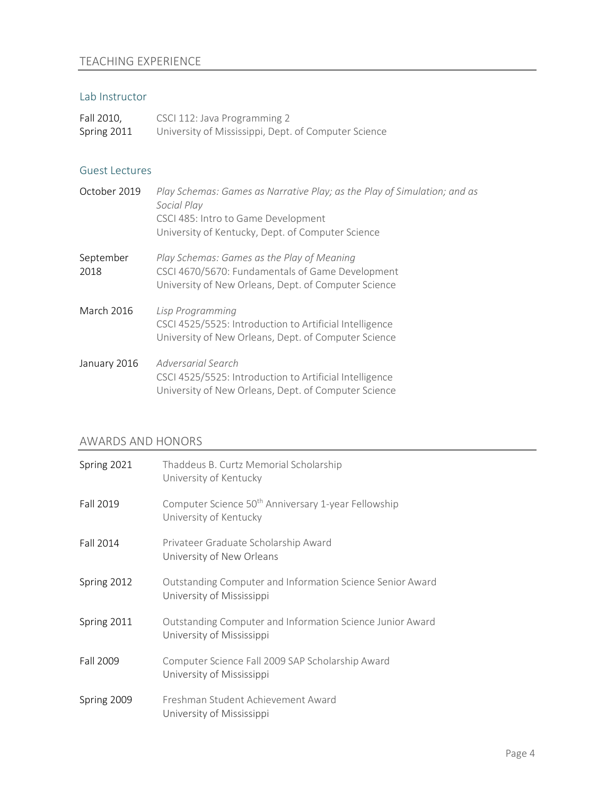# TEACHING EXPERIENCE

#### Lab Instructor

| Fall 2010,  | CSCI 112: Java Programming 2                         |
|-------------|------------------------------------------------------|
| Spring 2011 | University of Mississippi, Dept. of Computer Science |

#### Guest Lectures

| October 2019      | Play Schemas: Games as Narrative Play; as the Play of Simulation; and as<br>Social Play<br>CSCI 485: Intro to Game Development<br>University of Kentucky, Dept. of Computer Science |
|-------------------|-------------------------------------------------------------------------------------------------------------------------------------------------------------------------------------|
| September<br>2018 | Play Schemas: Games as the Play of Meaning<br>CSCI 4670/5670: Fundamentals of Game Development<br>University of New Orleans, Dept. of Computer Science                              |
| March 2016        | Lisp Programming<br>CSCI 4525/5525: Introduction to Artificial Intelligence<br>University of New Orleans, Dept. of Computer Science                                                 |
| January 2016      | Adversarial Search<br>CSCI 4525/5525: Introduction to Artificial Intelligence<br>University of New Orleans, Dept. of Computer Science                                               |

# AWARDS AND HONORS

| Spring 2021 | Thaddeus B. Curtz Memorial Scholarship<br>University of Kentucky                          |
|-------------|-------------------------------------------------------------------------------------------|
| Fall 2019   | Computer Science 50 <sup>th</sup> Anniversary 1-year Fellowship<br>University of Kentucky |
| Fall 2014   | Privateer Graduate Scholarship Award<br>University of New Orleans                         |
| Spring 2012 | Outstanding Computer and Information Science Senior Award<br>University of Mississippi    |
| Spring 2011 | Outstanding Computer and Information Science Junior Award<br>University of Mississippi    |
| Fall 2009   | Computer Science Fall 2009 SAP Scholarship Award<br>University of Mississippi             |
| Spring 2009 | Freshman Student Achievement Award<br>University of Mississippi                           |